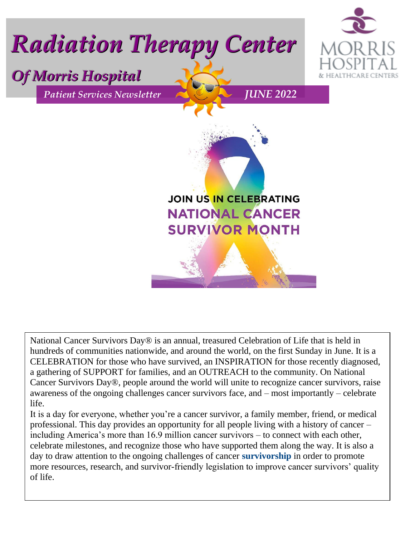

National Cancer Survivors Day® is an annual, treasured Celebration of Life that is held in hundreds of communities nationwide, and around the world, on the first Sunday in June. It is a CELEBRATION for those who have survived, an INSPIRATION for those recently diagnosed, a gathering of SUPPORT for families, and an OUTREACH to the community. On National Cancer Survivors Day®, people around the world will unite to recognize cancer survivors, raise awareness of the ongoing challenges cancer survivors face, and – most importantly – celebrate life.

It is a day for everyone, whether you're a cancer survivor, a family member, friend, or medical professional. This day provides an opportunity for all people living with a history of cancer – including America's more than 16.9 million cancer survivors – to connect with each other, celebrate milestones, and recognize those who have supported them along the way. It is also a day to draw attention to the ongoing challenges of cancer **[survivorship](https://www.ncsd.org/cancer-survivorship-issues)** in order to promote more resources, research, and survivor-friendly legislation to improve cancer survivors' quality of life.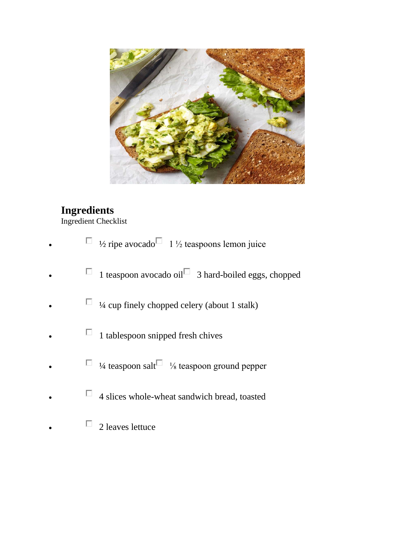

## **Ingredients**

Ingredient Checklist

- $\Box$  <sup>1</sup>/<sub>2</sub> ripe avocado $\Box$  1<sup>1</sup>/<sub>2</sub> teaspoons lemon juice
- $\Box$  1 teaspoon avocado oil $\Box$  3 hard-boiled eggs, chopped
- $\Box$  <sup>1</sup>/4 cup finely chopped celery (about 1 stalk)
	- $\Box$  1 tablespoon snipped fresh chives
- $\Box$  <sup>1</sup>/<sub>4</sub> teaspoon salt $\Box$ <sup>1</sup>/<sub>8</sub> teaspoon ground pepper
- $\Box$  4 slices whole-wheat sandwich bread, toasted
- $\Box$  2 leaves lettuce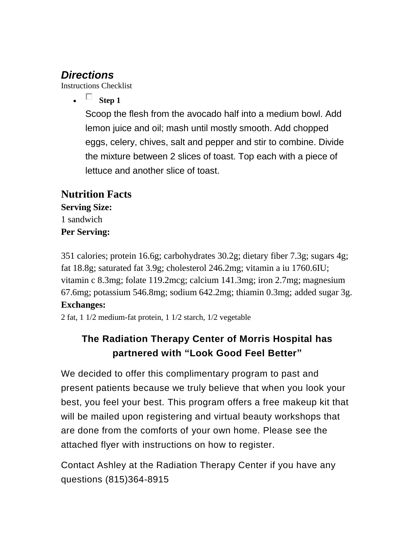# *Directions*

Instructions Checklist

 $\bullet$   $\Box$  Step 1

Scoop the flesh from the avocado half into a medium bowl. Add lemon juice and oil; mash until mostly smooth. Add chopped eggs, celery, chives, salt and pepper and stir to combine. Divide the mixture between 2 slices of toast. Top each with a piece of lettuce and another slice of toast.

### **Nutrition Facts Serving Size:** 1 sandwich **Per Serving:**

351 calories; protein 16.6g; carbohydrates 30.2g; dietary fiber 7.3g; sugars 4g; fat 18.8g; saturated fat 3.9g; cholesterol 246.2mg; vitamin a iu 1760.6IU; vitamin c 8.3mg; folate 119.2mcg; calcium 141.3mg; iron 2.7mg; magnesium 67.6mg; potassium 546.8mg; sodium 642.2mg; thiamin 0.3mg; added sugar 3g.

#### **Exchanges:**

2 fat, 1 1/2 medium-fat protein, 1 1/2 starch, 1/2 vegetable

## **The Radiation Therapy Center of Morris Hospital has partnered with "Look Good Feel Better"**

We decided to offer this complimentary program to past and present patients because we truly believe that when you look your best, you feel your best. This program offers a free makeup kit that will be mailed upon registering and virtual beauty workshops that are done from the comforts of your own home. Please see the attached flyer with instructions on how to register.

Contact Ashley at the Radiation Therapy Center if you have any questions (815)364-8915